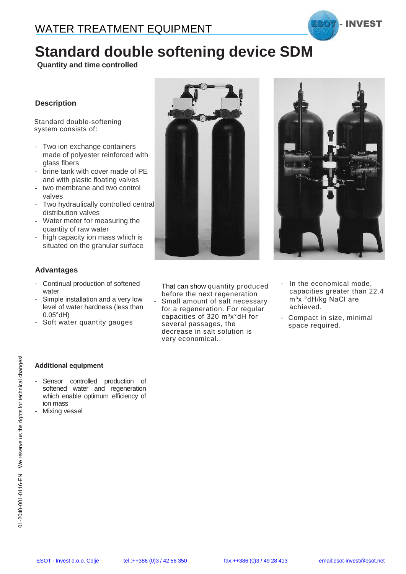# **Standard double softening device SDM**

**Quantity and time controlled**

### **Description**

Standard double-softening system consists of:

- Two ion exchange containers made of polyester reinforced with glass fibers
- brine tank with cover made of PE and with plastic floating valves
- two membrane and two control valves
- Two hydraulically controlled central distribution valves
- Water meter for measuring the quantity of raw water
- high capacity ion mass which is situated on the granular surface

#### **Advantages**

- Continual production of softened water
- Simple installation and a very low level of water hardness (less than 0.05°dH)
- Soft water quantity gauges



That can show quantity produced before the next regeneration

Small amount of salt necessary for a regeneration. For regular capacities of 320 m<sup>3</sup>x°dH for several passages, the decrease in salt solution is very economical..



- In the economical mode, capacities greater than 22.4 m<sup>3</sup>x °dH/kg NaCl are achieved.
- Compact in size, minimal space required.

#### **Additional equipment**

- Sensor controlled production of softened water and regeneration which enable optimum efficiency of ion mass
- Mixing vessel